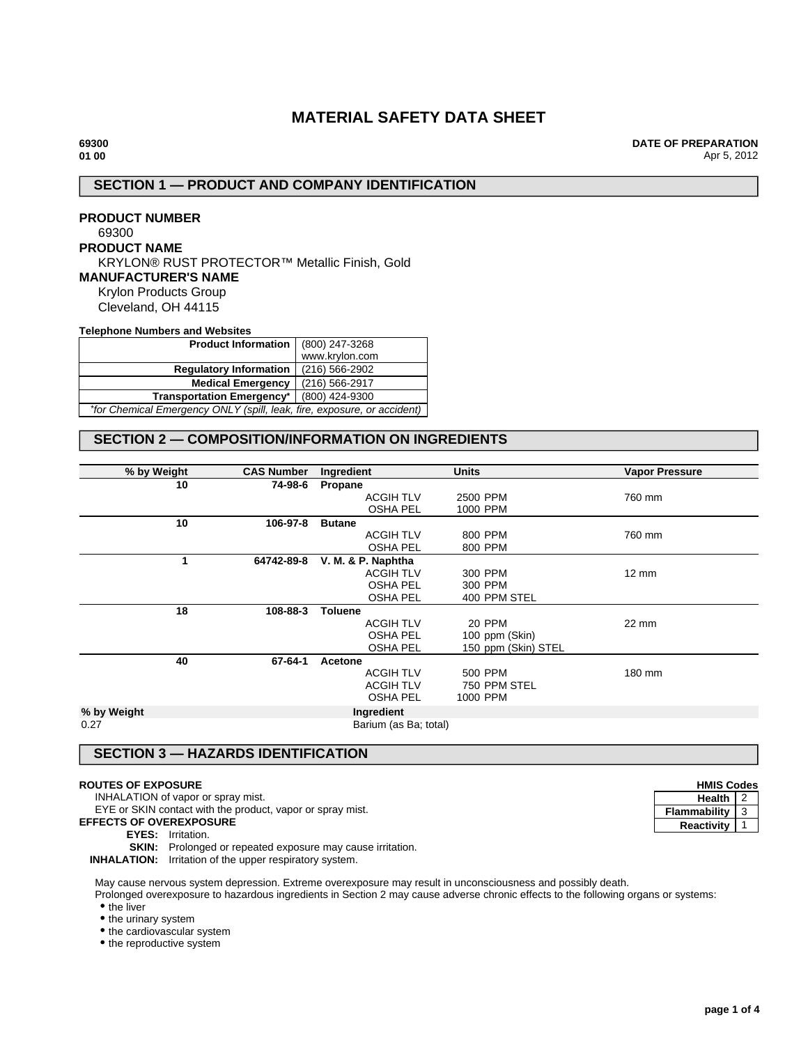# **MATERIAL SAFETY DATA SHEET**

**DATE OF PREPARATION** Apr 5, 2012

## **SECTION 1 — PRODUCT AND COMPANY IDENTIFICATION**

**PRODUCT NUMBER** 69300 **PRODUCT NAME** KRYLON® RUST PROTECTOR™ Metallic Finish, Gold **MANUFACTURER'S NAME** Krylon Products Group Cleveland, OH 44115

**Telephone Numbers and Websites**

| Product Information   (800) 247-3268                                    |                |  |  |
|-------------------------------------------------------------------------|----------------|--|--|
|                                                                         | www.krylon.com |  |  |
| <b>Regulatory Information</b>                                           | (216) 566-2902 |  |  |
| <b>Medical Emergency</b>                                                | (216) 566-2917 |  |  |
| Transportation Emergency <sup>*</sup>   (800) 424-9300                  |                |  |  |
| *for Chemical Emergency ONLY (spill, leak, fire, exposure, or accident) |                |  |  |

## **SECTION 2 — COMPOSITION/INFORMATION ON INGREDIENTS**

| % by Weight | <b>CAS Number</b> | Ingredient            | <b>Units</b>        | <b>Vapor Pressure</b> |
|-------------|-------------------|-----------------------|---------------------|-----------------------|
| 10          | 74-98-6           | Propane               |                     |                       |
|             |                   | <b>ACGIH TLV</b>      | 2500 PPM            | 760 mm                |
|             |                   | <b>OSHA PEL</b>       | 1000 PPM            |                       |
| 10          | 106-97-8          | <b>Butane</b>         |                     |                       |
|             |                   | <b>ACGIH TLV</b>      | 800 PPM             | 760 mm                |
|             |                   | <b>OSHA PEL</b>       | 800 PPM             |                       |
| 1           | 64742-89-8        | V. M. & P. Naphtha    |                     |                       |
|             |                   | <b>ACGIH TLV</b>      | 300 PPM             | $12 \text{ mm}$       |
|             |                   | <b>OSHA PEL</b>       | 300 PPM             |                       |
|             |                   | <b>OSHA PEL</b>       | 400 PPM STEL        |                       |
| 18          | 108-88-3          | <b>Toluene</b>        |                     |                       |
|             |                   | <b>ACGIH TLV</b>      | 20 PPM              | 22 mm                 |
|             |                   | <b>OSHA PEL</b>       | 100 ppm (Skin)      |                       |
|             |                   | <b>OSHA PEL</b>       | 150 ppm (Skin) STEL |                       |
| 40          | 67-64-1           | Acetone               |                     |                       |
|             |                   | <b>ACGIH TLV</b>      | 500 PPM             | 180 mm                |
|             |                   | <b>ACGIH TLV</b>      | 750 PPM STEL        |                       |
|             |                   | <b>OSHA PEL</b>       | 1000 PPM            |                       |
| % by Weight |                   | Ingredient            |                     |                       |
| 0.27        |                   | Barium (as Ba; total) |                     |                       |

## **SECTION 3 — HAZARDS IDENTIFICATION**

### **ROUTES OF EXPOSURE**

INHALATION of vapor or spray mist.

EYE or SKIN contact with the product, vapor or spray mist.

- **EFFECTS OF OVEREXPOSURE**
	- **EYES:** Irritation.

**SKIN:** Prolonged or repeated exposure may cause irritation.

**INHALATION:** Irritation of the upper respiratory system.

May cause nervous system depression. Extreme overexposure may result in unconsciousness and possibly death.

Prolonged overexposure to hazardous ingredients in Section 2 may cause adverse chronic effects to the following organs or systems: • the liver

• the urinary system

• the cardiovascular system

• the reproductive system

| <b>HMIS Codes</b> |  |
|-------------------|--|
| <b>Health</b>     |  |
| Flammability      |  |
| Reactivity        |  |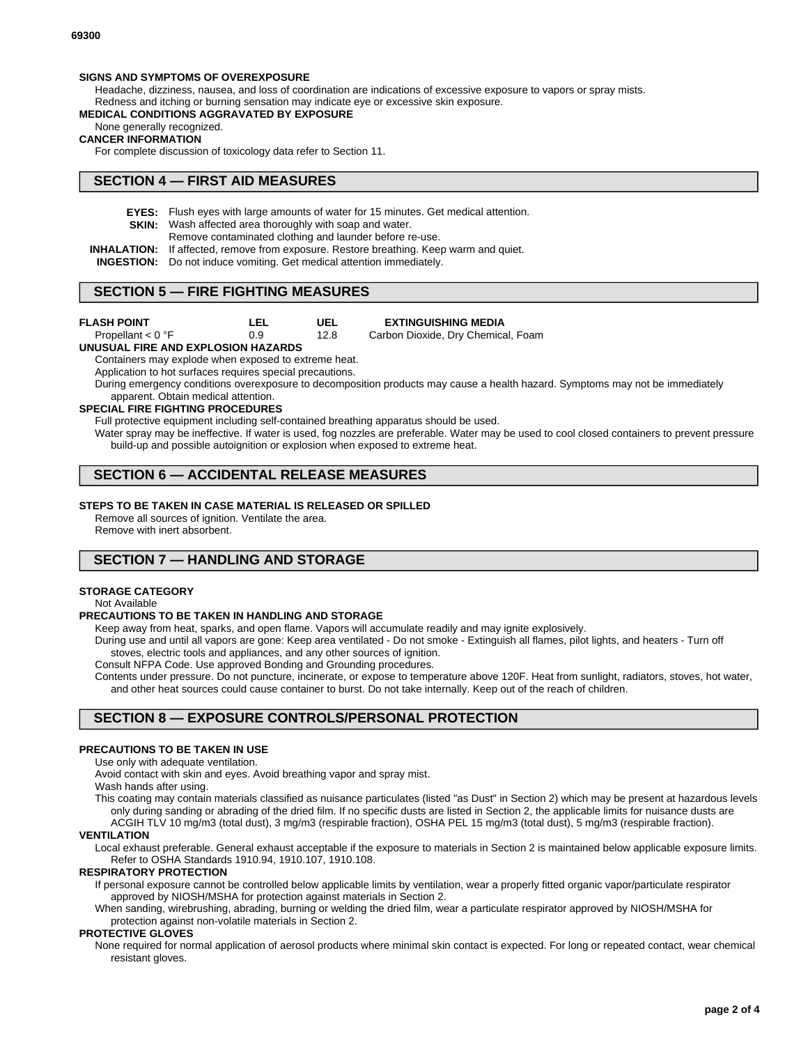### **SIGNS AND SYMPTOMS OF OVEREXPOSURE**

Headache, dizziness, nausea, and loss of coordination are indications of excessive exposure to vapors or spray mists. Redness and itching or burning sensation may indicate eye or excessive skin exposure.

### **MEDICAL CONDITIONS AGGRAVATED BY EXPOSURE**

None generally recognized.

#### **CANCER INFORMATION**

For complete discussion of toxicology data refer to Section 11.

## **SECTION 4 — FIRST AID MEASURES**

- **EYES:** Flush eyes with large amounts of water for 15 minutes. Get medical attention.
- **SKIN:** Wash affected area thoroughly with soap and water.
	- Remove contaminated clothing and launder before re-use.
- **INHALATION:** If affected, remove from exposure. Restore breathing. Keep warm and quiet.
- **INGESTION:** Do not induce vomiting. Get medical attention immediately.

## **SECTION 5 — FIRE FIGHTING MEASURES**

| FLASH POINT |  |  |  |  |
|-------------|--|--|--|--|
|-------------|--|--|--|--|

**LEL** Propellant < 0 °F

**EXTINGUISHING MEDIA**

**UEL** 12.8 0.9 Carbon Dioxide, Dry Chemical, Foam

### **UNUSUAL FIRE AND EXPLOSION HAZARDS**

Containers may explode when exposed to extreme heat.

Application to hot surfaces requires special precautions.

During emergency conditions overexposure to decomposition products may cause a health hazard. Symptoms may not be immediately apparent. Obtain medical attention.

### **SPECIAL FIRE FIGHTING PROCEDURES**

Full protective equipment including self-contained breathing apparatus should be used.

Water spray may be ineffective. If water is used, fog nozzles are preferable. Water may be used to cool closed containers to prevent pressure build-up and possible autoignition or explosion when exposed to extreme heat.

## **SECTION 6 — ACCIDENTAL RELEASE MEASURES**

#### **STEPS TO BE TAKEN IN CASE MATERIAL IS RELEASED OR SPILLED**

Remove all sources of ignition. Ventilate the area.

Remove with inert absorbent.

## **SECTION 7 — HANDLING AND STORAGE**

### **STORAGE CATEGORY**

Not Available

#### **PRECAUTIONS TO BE TAKEN IN HANDLING AND STORAGE**

Keep away from heat, sparks, and open flame. Vapors will accumulate readily and may ignite explosively.

During use and until all vapors are gone: Keep area ventilated - Do not smoke - Extinguish all flames, pilot lights, and heaters - Turn off stoves, electric tools and appliances, and any other sources of ignition.

Consult NFPA Code. Use approved Bonding and Grounding procedures.

Contents under pressure. Do not puncture, incinerate, or expose to temperature above 120F. Heat from sunlight, radiators, stoves, hot water, and other heat sources could cause container to burst. Do not take internally. Keep out of the reach of children.

## **SECTION 8 — EXPOSURE CONTROLS/PERSONAL PROTECTION**

#### **PRECAUTIONS TO BE TAKEN IN USE**

Use only with adequate ventilation.

Avoid contact with skin and eyes. Avoid breathing vapor and spray mist.

Wash hands after using.

This coating may contain materials classified as nuisance particulates (listed "as Dust" in Section 2) which may be present at hazardous levels only during sanding or abrading of the dried film. If no specific dusts are listed in Section 2, the applicable limits for nuisance dusts are ACGIH TLV 10 mg/m3 (total dust), 3 mg/m3 (respirable fraction), OSHA PEL 15 mg/m3 (total dust), 5 mg/m3 (respirable fraction).

#### **VENTILATION**

Local exhaust preferable. General exhaust acceptable if the exposure to materials in Section 2 is maintained below applicable exposure limits. Refer to OSHA Standards 1910.94, 1910.107, 1910.108.

### **RESPIRATORY PROTECTION**

If personal exposure cannot be controlled below applicable limits by ventilation, wear a properly fitted organic vapor/particulate respirator approved by NIOSH/MSHA for protection against materials in Section 2.

When sanding, wirebrushing, abrading, burning or welding the dried film, wear a particulate respirator approved by NIOSH/MSHA for protection against non-volatile materials in Section 2.

#### **PROTECTIVE GLOVES**

None required for normal application of aerosol products where minimal skin contact is expected. For long or repeated contact, wear chemical resistant gloves.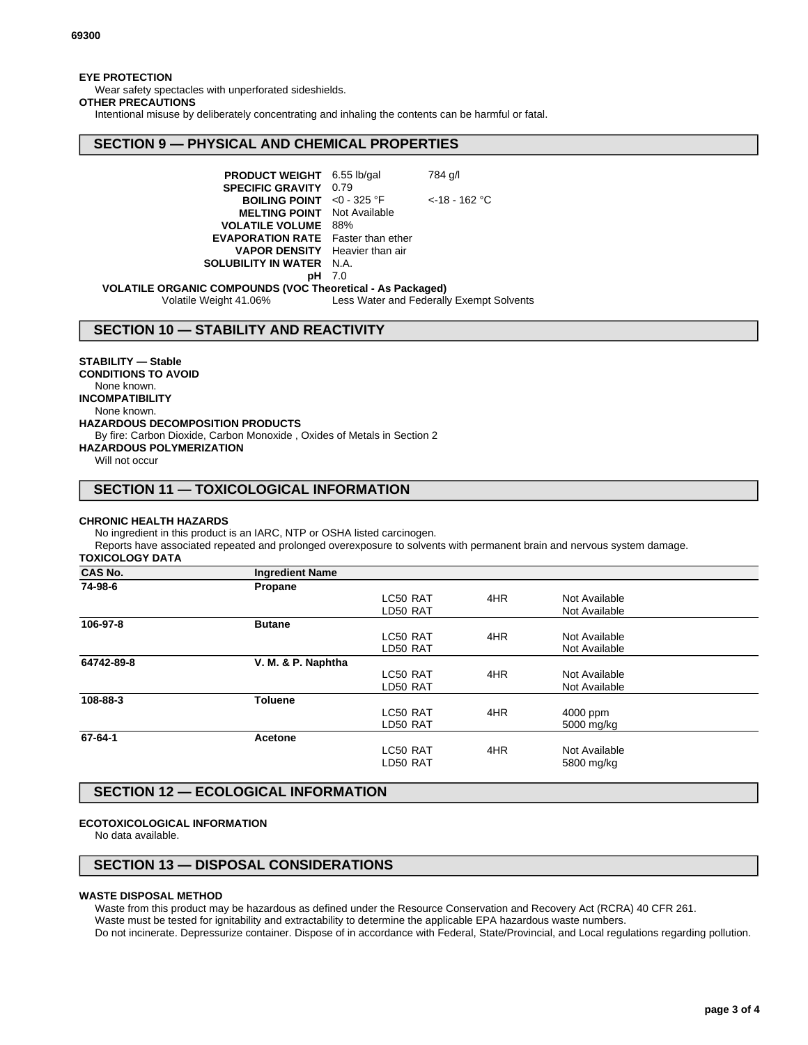### **EYE PROTECTION**

Wear safety spectacles with unperforated sideshields.

### **OTHER PRECAUTIONS**

Intentional misuse by deliberately concentrating and inhaling the contents can be harmful or fatal.

## **SECTION 9 — PHYSICAL AND CHEMICAL PROPERTIES**

| PRODUCT WEIGHT 6.55 lb/gal                   |      | 784 g/l          |  |  |
|----------------------------------------------|------|------------------|--|--|
| <b>SPECIFIC GRAVITY</b>                      | 0.79 |                  |  |  |
| <b>BOILING POINT</b> <0 - 325 $^{\circ}$ F   |      | $<$ -18 - 162 °C |  |  |
| <b>MELTING POINT</b> Not Available           |      |                  |  |  |
| <b>VOLATILE VOLUME 88%</b>                   |      |                  |  |  |
| <b>EVAPORATION RATE</b> Faster than ether    |      |                  |  |  |
| <b>VAPOR DENSITY</b> Heavier than air        |      |                  |  |  |
| <b>SOLUBILITY IN WATER N.A.</b>              |      |                  |  |  |
| pН                                           | 7.0  |                  |  |  |
| C. COMPOUNDS (VOC Theoretical An Decisional) |      |                  |  |  |

**VOLATILE ORGANIC COMPOUNDS (VOC Theoretical - As Packaged)** Less Water and Federally Exempt Solvents

**SECTION 10 — STABILITY AND REACTIVITY**

### **STABILITY — Stable**

**CONDITIONS TO AVOID** None known. **INCOMPATIBILITY** None known. **HAZARDOUS DECOMPOSITION PRODUCTS** By fire: Carbon Dioxide, Carbon Monoxide , Oxides of Metals in Section 2 **HAZARDOUS POLYMERIZATION**

Will not occur

## **SECTION 11 — TOXICOLOGICAL INFORMATION**

#### **CHRONIC HEALTH HAZARDS**

No ingredient in this product is an IARC, NTP or OSHA listed carcinogen.

Reports have associated repeated and prolonged overexposure to solvents with permanent brain and nervous system damage. **TOXICOLOGY DATA**

| CAS No. |  |  |
|---------|--|--|

| <b>CAS No.</b> | <b>Ingredient Name</b> |          |     |               |  |
|----------------|------------------------|----------|-----|---------------|--|
| 74-98-6        | Propane                |          |     |               |  |
|                |                        | LC50 RAT | 4HR | Not Available |  |
|                |                        | LD50 RAT |     | Not Available |  |
| 106-97-8       | <b>Butane</b>          |          |     |               |  |
|                |                        | LC50 RAT | 4HR | Not Available |  |
|                |                        | LD50 RAT |     | Not Available |  |
| 64742-89-8     | V. M. & P. Naphtha     |          |     |               |  |
|                |                        | LC50 RAT | 4HR | Not Available |  |
|                |                        | LD50 RAT |     | Not Available |  |
| 108-88-3       | <b>Toluene</b>         |          |     |               |  |
|                |                        | LC50 RAT | 4HR | 4000 ppm      |  |
|                |                        | LD50 RAT |     | 5000 mg/kg    |  |
| 67-64-1        | Acetone                |          |     |               |  |
|                |                        | LC50 RAT | 4HR | Not Available |  |
|                |                        | LD50 RAT |     | 5800 mg/kg    |  |
|                |                        |          |     |               |  |

## **SECTION 12 — ECOLOGICAL INFORMATION**

### **ECOTOXICOLOGICAL INFORMATION**

No data available.

## **SECTION 13 — DISPOSAL CONSIDERATIONS**

### **WASTE DISPOSAL METHOD**

Waste from this product may be hazardous as defined under the Resource Conservation and Recovery Act (RCRA) 40 CFR 261.

Waste must be tested for ignitability and extractability to determine the applicable EPA hazardous waste numbers.

Do not incinerate. Depressurize container. Dispose of in accordance with Federal, State/Provincial, and Local regulations regarding pollution.